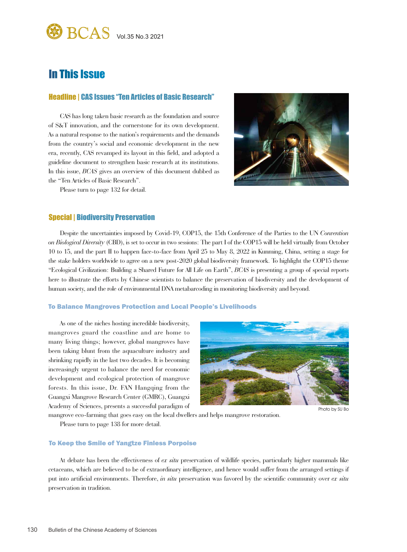

# In This Issue

# Headline | CAS Issues "Ten Articles of Basic Research"

CAS has long taken basic research as the foundation and source of S&T innovation, and the cornerstone for its own development. As a natural response to the nation's requirements and the demands from the country's social and economic development in the new era, recently, CAS revamped its layout in this field, and adopted a guideline document to strengthen basic research at its institutions. In this issue, *BCAS* gives an overview of this document dubbed as the "Ten Articles of Basic Research".



Please turn to page 132 for detail.

## Special | Biodiversity Preservation

Despite the uncertainties imposed by Covid-19, COP15, the 15th Conference of the Parties to the UN *Convention on Biological Diversity* (CBD), is set to occur in two sessions: The part I of the COP15 will be held virtually from October 10 to 15, and the part II to happen face-to-face from April 25 to May 8, 2022 in Kunming, China, setting a stage for the stake holders worldwide to agree on a new post-2020 global biodiversity framework. To highlight the COP15 theme "Ecological Civilization: Building a Shared Future for All Life on Earth", *BCAS* is presenting a group of special reports here to illustrate the efforts by Chinese scientists to balance the preservation of biodiversity and the development of human society, and the role of environmental DNA metabarcoding in monitoring biodiversity and beyond.

#### To Balance Mangroves Protection and Local People's Livelihoods

As one of the niches hosting incredible biodiversity, mangroves guard the coastline and are home to many living things; however, global mangroves have been taking blunt from the aquaculture industry and shrinking rapidly in the last two decades. It is becoming increasingly urgent to balance the need for economic development and ecological protection of mangrove forests. In this issue, Dr. FAN Hangqing from the Guangxi Mangrove Research Center (GMRC), Guangxi Academy of Sciences, presents a successful paradigm of



Photo by SU Bc

mangrove eco-farming that goes easy on the local dwellers and helps mangrove restoration.

Please turn to page 138 for more detail.

#### To Keep the Smile of Yangtze Finless Porpoise

At debate has been the effectiveness of *ex situ* preservation of wildlife species, particularly higher mammals like cetaceans, which are believed to be of extraordinary intelligence, and hence would suffer from the arranged settings if put into artificial environments. Therefore, *in situ* preservation was favored by the scientific community over *ex situ*  preservation in tradition.